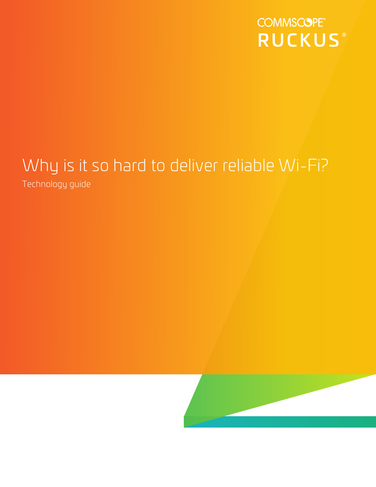**COMMSCOPE® RUCKUS®** 

# Why is it so hard to deliver reliable Wi-Fi?

Technology guide

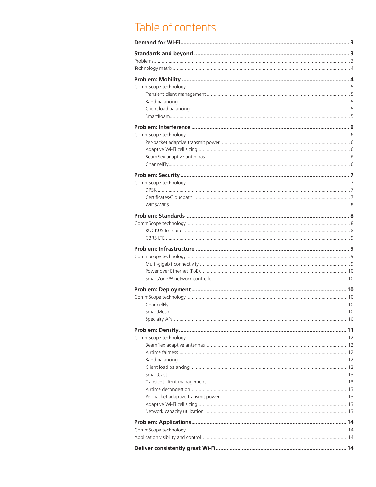# Table of contents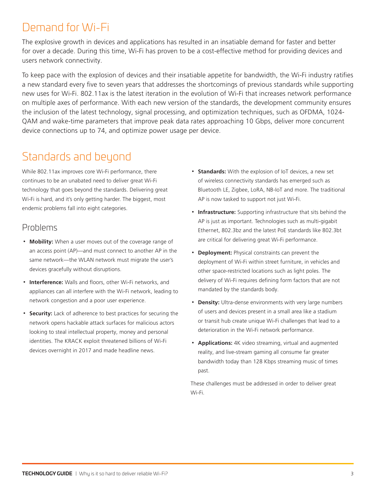# <span id="page-2-0"></span>Demand for Wi-Fi

The explosive growth in devices and applications has resulted in an insatiable demand for faster and better for over a decade. During this time, Wi-Fi has proven to be a cost-effective method for providing devices and users network connectivity.

To keep pace with the explosion of devices and their insatiable appetite for bandwidth, the Wi-Fi industry ratifies a new standard every five to seven years that addresses the shortcomings of previous standards while supporting new uses for Wi-Fi. 802.11ax is the latest iteration in the evolution of Wi-Fi that increases network performance on multiple axes of performance. With each new version of the standards, the development community ensures the inclusion of the latest technology, signal processing, and optimization techniques, such as OFDMA, 1024- QAM and wake-time parameters that improve peak data rates approaching 10 Gbps, deliver more concurrent device connections up to 74, and optimize power usage per device.

# Standards and beyond

While 802.11ax improves core Wi-Fi performance, there continues to be an unabated need to deliver great Wi-Fi technology that goes beyond the standards. Delivering great Wi-Fi is hard, and it's only getting harder. The biggest, most endemic problems fall into eight categories.

### Problems

- **Mobility:** When a user moves out of the coverage range of an access point (AP)—and must connect to another AP in the same network—the WLAN network must migrate the user's devices gracefully without disruptions.
- **Interference:** Walls and floors, other Wi-Fi networks, and appliances can all interfere with the Wi-Fi network, leading to network congestion and a poor user experience.
- **Security:** Lack of adherence to best practices for securing the network opens hackable attack surfaces for malicious actors looking to steal intellectual property, money and personal identities. The KRACK exploit threatened billions of Wi-Fi devices overnight in 2017 and made headline news.
- **Standards:** With the explosion of IoT devices, a new set of wireless connectivity standards has emerged such as Bluetooth LE, Zigbee, LoRA, NB-IoT and more. The traditional AP is now tasked to support not just Wi-Fi.
- **Infrastructure:** Supporting infrastructure that sits behind the AP is just as important. Technologies such as multi-gigabit Ethernet, 802.3bz and the latest PoE standards like 802.3bt are critical for delivering great Wi-Fi performance.
- **Deployment:** Physical constraints can prevent the deployment of Wi-Fi within street furniture, in vehicles and other space-restricted locations such as light poles. The delivery of Wi-Fi requires defining form factors that are not mandated by the standards body.
- **Density:** Ultra-dense environments with very large numbers of users and devices present in a small area like a stadium or transit hub create unique Wi-Fi challenges that lead to a deterioration in the Wi-Fi network performance.
- **Applications:** 4K video streaming, virtual and augmented reality, and live-stream gaming all consume far greater bandwidth today than 128 Kbps streaming music of times past.

These challenges must be addressed in order to deliver great Wi-Fi.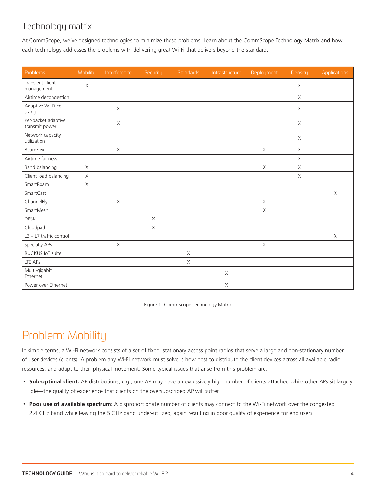### <span id="page-3-0"></span>Technology matrix

At CommScope, we've designed technologies to minimize these problems. Learn about the CommScope Technology Matrix and how each technology addresses the problems with delivering great Wi-Fi that delivers beyond the standard.

| Problems                              | Mobility    | Interference | Security    | Standards   | Infrastructure | Deployment  | Density     | <b>Applications</b> |
|---------------------------------------|-------------|--------------|-------------|-------------|----------------|-------------|-------------|---------------------|
| Transient client<br>management        | X           |              |             |             |                |             | X           |                     |
| Airtime decongestion                  |             |              |             |             |                |             | $\times$    |                     |
| Adaptive Wi-Fi cell<br>sizing         |             | $\mathsf X$  |             |             |                |             | $\mathsf X$ |                     |
| Per-packet adaptive<br>transmit power |             | $\mathsf X$  |             |             |                |             | $\mathsf X$ |                     |
| Network capacity<br>utilization       |             |              |             |             |                |             | $\mathsf X$ |                     |
| BeamFlex                              |             | $\mathsf X$  |             |             |                | $\mathsf X$ | $\mathsf X$ |                     |
| Airtime fairness                      |             |              |             |             |                |             | $\times$    |                     |
| Band balancing                        | $\times$    |              |             |             |                | $\mathsf X$ | $\mathsf X$ |                     |
| Client load balancing                 | $\mathsf X$ |              |             |             |                |             | $\mathsf X$ |                     |
| SmartRoam                             | $\mathsf X$ |              |             |             |                |             |             |                     |
| SmartCast                             |             |              |             |             |                |             |             | $\mathsf X$         |
| ChannelFly                            |             | $\mathsf X$  |             |             |                | $\mathsf X$ |             |                     |
| SmartMesh                             |             |              |             |             |                | $\mathsf X$ |             |                     |
| <b>DPSK</b>                           |             |              | $\mathsf X$ |             |                |             |             |                     |
| Cloudpath                             |             |              | $\mathsf X$ |             |                |             |             |                     |
| L3 - L7 traffic control               |             |              |             |             |                |             |             | $\mathsf X$         |
| Specialty APs                         |             | $\times$     |             |             |                | $\mathsf X$ |             |                     |
| RUCKUS IoT suite                      |             |              |             | $\times$    |                |             |             |                     |
| LTE APs                               |             |              |             | $\mathsf X$ |                |             |             |                     |
| Multi-gigabit<br>Ethernet             |             |              |             |             | $\mathsf X$    |             |             |                     |
| Power over Ethernet                   |             |              |             |             | $\mathsf X$    |             |             |                     |

Figure 1. CommScope Technology Matrix

# Problem: Mobility

In simple terms, a Wi-Fi network consists of a set of fixed, stationary access point radios that serve a large and non-stationary number of user devices (clients). A problem any Wi-Fi network must solve is how best to distribute the client devices across all available radio resources, and adapt to their physical movement. Some typical issues that arise from this problem are:

- **Sub-optimal client:** AP distributions, e.g., one AP may have an excessively high number of clients attached while other APs sit largely idle—the quality of experience that clients on the oversubscribed AP will suffer.
- **Poor use of available spectrum:** A disproportionate number of clients may connect to the Wi-Fi network over the congested 2.4 GHz band while leaving the 5 GHz band under-utilized, again resulting in poor quality of experience for end users.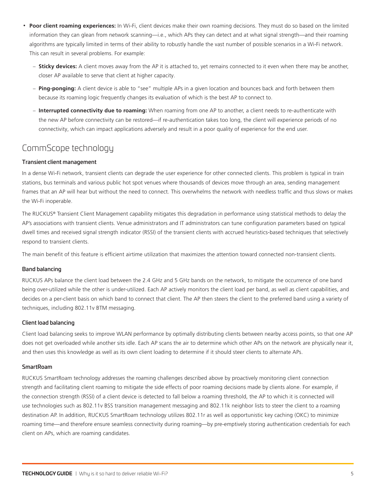- <span id="page-4-0"></span>• **Poor client roaming experiences:** In Wi-Fi, client devices make their own roaming decisions. They must do so based on the limited information they can glean from network scanning—i.e., which APs they can detect and at what signal strength—and their roaming algorithms are typically limited in terms of their ability to robustly handle the vast number of possible scenarios in a Wi-Fi network. This can result in several problems. For example:
	- **Sticky devices:** A client moves away from the AP it is attached to, yet remains connected to it even when there may be another, closer AP available to serve that client at higher capacity.
	- **Ping-ponging:** A client device is able to "see" multiple APs in a given location and bounces back and forth between them because its roaming logic frequently changes its evaluation of which is the best AP to connect to.
	- **Interrupted connectivity due to roaming:** When roaming from one AP to another, a client needs to re-authenticate with the new AP before connectivity can be restored—if re-authentication takes too long, the client will experience periods of no connectivity, which can impact applications adversely and result in a poor quality of experience for the end user.

### CommScope technology

#### Transient client management

In a dense Wi-Fi network, transient clients can degrade the user experience for other connected clients. This problem is typical in train stations, bus terminals and various public hot spot venues where thousands of devices move through an area, sending management frames that an AP will hear but without the need to connect. This overwhelms the network with needless traffic and thus slows or makes the Wi-Fi inoperable.

The RUCKUS® Transient Client Management capability mitigates this degradation in performance using statistical methods to delay the AP's associations with transient clients. Venue administrators and IT administrators can tune configuration parameters based on typical dwell times and received signal strength indicator (RSSI) of the transient clients with accrued heuristics-based techniques that selectively respond to transient clients.

The main benefit of this feature is efficient airtime utilization that maximizes the attention toward connected non-transient clients.

#### Band balancing

RUCKUS APs balance the client load between the 2.4 GHz and 5 GHz bands on the network, to mitigate the occurrence of one band being over-utilized while the other is under-utilized. Each AP actively monitors the client load per band, as well as client capabilities, and decides on a per-client basis on which band to connect that client. The AP then steers the client to the preferred band using a variety of techniques, including 802.11v BTM messaging.

#### Client load balancing

Client load balancing seeks to improve WLAN performance by optimally distributing clients between nearby access points, so that one AP does not get overloaded while another sits idle. Each AP scans the air to determine which other APs on the network are physically near it, and then uses this knowledge as well as its own client loading to determine if it should steer clients to alternate APs.

#### **SmartRoam**

RUCKUS SmartRoam technology addresses the roaming challenges described above by proactively monitoring client connection strength and facilitating client roaming to mitigate the side effects of poor roaming decisions made by clients alone. For example, if the connection strength (RSSI) of a client device is detected to fall below a roaming threshold, the AP to which it is connected will use technologies such as 802.11v BSS transition management messaging and 802.11k neighbor lists to steer the client to a roaming destination AP. In addition, RUCKUS SmartRoam technology utilizes 802.11r as well as opportunistic key caching (OKC) to minimize roaming time—and therefore ensure seamless connectivity during roaming—by pre-emptively storing authentication credentials for each client on APs, which are roaming candidates.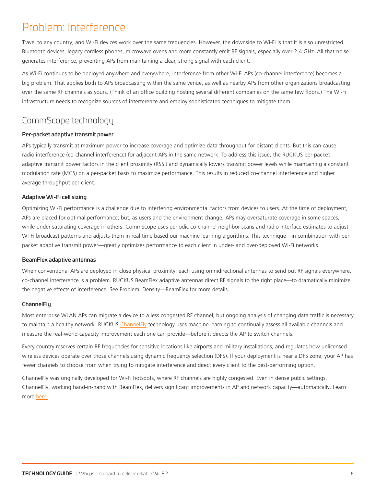# <span id="page-5-0"></span>Problem: Interference

Travel to any country, and Wi-Fi devices work over the same frequencies. However, the downside to Wi-Fi is that it is also unrestricted. Bluetooth devices, legacy cordless phones, microwave ovens and more constantly emit RF signals, especially over 2.4 GHz. All that noise generates interference, preventing APs from maintaining a clear, strong signal with each client.

As Wi-Fi continues to be deployed anywhere and everywhere, interference from other Wi-Fi APs (co-channel interference) becomes a big problem. That applies both to APs broadcasting within the same venue, as well as nearby APs from other organizations broadcasting over the same RF channels as yours. (Think of an office building hosting several different companies on the same few floors.) The Wi-Fi infrastructure needs to recognize sources of interference and employ sophisticated techniques to mitigate them.

### CommScope technology

#### Per-packet adaptive transmit power

APs typically transmit at maximum power to increase coverage and optimize data throughput for distant clients. But this can cause radio interference (co-channel interference) for adjacent APs in the same network. To address this issue, the RUCKUS per-packet adaptive transmit power factors in the client proximity (RSSI) and dynamically lowers transmit power levels while maintaining a constant modulation rate (MCS) on a per-packet basis to maximize performance. This results in reduced co-channel interference and higher average throughput per client.

#### Adaptive Wi-Fi cell sizing

Optimizing Wi-Fi performance is a challenge due to interfering environmental factors from devices to users. At the time of deployment, APs are placed for optimal performance; but, as users and the environment change, APs may oversaturate coverage in some spaces, while under-saturating coverage in others. CommScope uses periodic co-channel neighbor scans and radio interface estimates to adjust Wi-Fi broadcast patterns and adjusts them in real time based our machine learning algorithms. This technique—in combination with perpacket adaptive transmit power—greatly optimizes performance to each client in under- and over-deployed Wi-Fi networks.

#### BeamFlex adaptive antennas

When conventional APs are deployed in close physical proximity, each using omnidirectional antennas to send out RF signals everywhere, co-channel interference is a problem. RUCKUS BeamFlex adaptive antennas direct RF signals to the right place—to dramatically minimize the negative effects of interference. See Problem: Density—BeamFlex for more details.

#### ChannelFly

Most enterprise WLAN APs can migrate a device to a less congested RF channel, but ongoing analysis of changing data traffic is necessary to maintain a healthy network. RUCKUS [ChannelFly](https://www.commscope.com/globalassets/digizuite/61905-fs-channelfly.pdf) technology uses machine learning to continually assess all available channels and measure the real-world capacity improvement each one can provide—before it directs the AP to switch channels.

Every country reserves certain RF frequencies for sensitive locations like airports and military installations, and regulates how unlicensed wireless devices operate over those channels using dynamic frequency selection (DFS). If your deployment is near a DFS zone, your AP has fewer channels to choose from when trying to mitigate interference and direct every client to the best-performing option.

ChannelFly was originally developed for Wi-Fi hotspots, where RF channels are highly congested. Even in dense public settings, ChannelFly, working hand-in-hand with BeamFlex, delivers significant improvements in AP and network capacity—automatically. Learn more [here.](https://www.commscope.com/globalassets/digizuite/61905-fs-channelfly.pdf)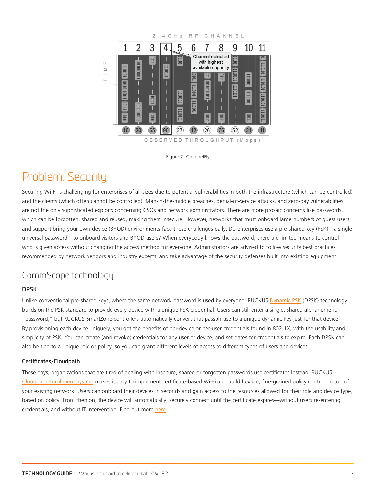<span id="page-6-0"></span>



# Problem: Security

Securing Wi-Fi is challenging for enterprises of all sizes due to potential vulnerabilities in both the infrastructure (which can be controlled) and the clients (which often cannot be controlled). Man-in-the-middle breaches, denial-of-service attacks, and zero-day vulnerabilities are not the only sophisticated exploits concerning CSOs and network administrators. There are more prosaic concerns like passwords, which can be forgotten, shared and reused, making them insecure. However, networks that must onboard large numbers of guest users and support bring-your-own-device (BYOD) environments face these challenges daily. Do enterprises use a pre-shared key (PSK)—a single universal password—to onboard visitors and BYOD users? When everybody knows the password, there are limited means to control who is given access without changing the access method for everyone. Administrators are advised to follow security best practices recommended by network vendors and industry experts, and take advantage of the security defenses built into existing equipment.

### CommScope technology

#### DPSK

Unlike conventional pre-shared keys, where the same network password is used by everyone, RUCKUS [Dynamic PSK](https://www.youtube.com/watch?v=tW6_DadBVuo) (DPSK) technology builds on the PSK standard to provide every device with a unique PSK credential. Users can still enter a single, shared alphanumeric "password," but RUCKUS SmartZone controllers automatically convert that passphrase to a unique dynamic key just for that device. By provisioning each device uniquely, you get the benefits of per-device or per-user credentials found in 802.1X, with the usability and simplicity of PSK. You can create (and revoke) credentials for any user or device, and set dates for credentials to expire. Each DPSK can also be tied to a unique role or policy, so you can grant different levels of access to different types of users and devices.

#### Certificates/Cloudpath

These days, organizations that are tired of dealing with insecure, shared or forgotten passwords use certificates instead. RUCKUS [Cloudpath Enrollment System](https://www.commscope.com/product-type/enterprise-networking/network-access-policy/network-access/) makes it easy to implement certificate-based Wi-Fi and build flexible, fine-grained policy control on top of your existing network. Users can onboard their devices in seconds and gain access to the resources allowed for their role and device type, based on policy. From then on, the device will automatically, securely connect until the certificate expires—without users re-entering credentials, and without IT intervention. Find out more [here.](https://www.commscope.com/product-type/enterprise-networking/network-access-policy/network-access/)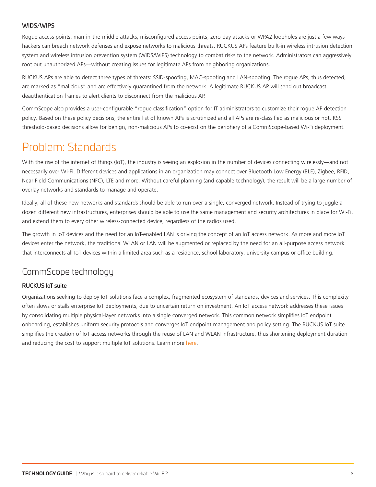#### <span id="page-7-0"></span>WIDS/WIPS

Rogue access points, man-in-the-middle attacks, misconfigured access points, zero-day attacks or WPA2 loopholes are just a few ways hackers can breach network defenses and expose networks to malicious threats. RUCKUS APs feature built-in wireless intrusion detection system and wireless intrusion prevention system (WIDS/WIPS) technology to combat risks to the network. Administrators can aggressively root out unauthorized APs—without creating issues for legitimate APs from neighboring organizations.

RUCKUS APs are able to detect three types of threats: SSID-spoofing, MAC-spoofing and LAN-spoofing. The rogue APs, thus detected, are marked as "malicious" and are effectively quarantined from the network. A legitimate RUCKUS AP will send out broadcast deauthentication frames to alert clients to disconnect from the malicious AP.

CommScope also provides a user-configurable "rogue classification" option for IT administrators to customize their rogue AP detection policy. Based on these policy decisions, the entire list of known APs is scrutinized and all APs are re-classified as malicious or not. RSSI threshold-based decisions allow for benign, non-malicious APs to co-exist on the periphery of a CommScope-based Wi-Fi deployment.

# Problem: Standards

With the rise of the internet of things (IoT), the industry is seeing an explosion in the number of devices connecting wirelessly—and not necessarily over Wi-Fi. Different devices and applications in an organization may connect over Bluetooth Low Energy (BLE), Zigbee, RFID, Near Field Communications (NFC), LTE and more. Without careful planning (and capable technology), the result will be a large number of overlay networks and standards to manage and operate.

Ideally, all of these new networks and standards should be able to run over a single, converged network. Instead of trying to juggle a dozen different new infrastructures, enterprises should be able to use the same management and security architectures in place for Wi-Fi, and extend them to every other wireless-connected device, regardless of the radios used.

The growth in IoT devices and the need for an IoT-enabled LAN is driving the concept of an IoT access network. As more and more IoT devices enter the network, the traditional WLAN or LAN will be augmented or replaced by the need for an all-purpose access network that interconnects all IoT devices within a limited area such as a residence, school laboratory, university campus or office building.

### CommScope technology

#### RUCKUS IoT suite

Organizations seeking to deploy IoT solutions face a complex, fragmented ecosystem of standards, devices and services. This complexity often slows or stalls enterprise IoT deployments, due to uncertain return on investment. An IoT access network addresses these issues by consolidating multiple physical-layer networks into a single converged network. This common network simplifies IoT endpoint onboarding, establishes uniform security protocols and converges IoT endpoint management and policy setting. The RUCKUS IoT suite simplifies the creation of IoT access networks through the reuse of LAN and WLAN infrastructure, thus shortening deployment duration and reducing the cost to support multiple IoT solutions. Learn more [here](https://www.commscope.com/product-type/enterprise-networking/iot-networking/).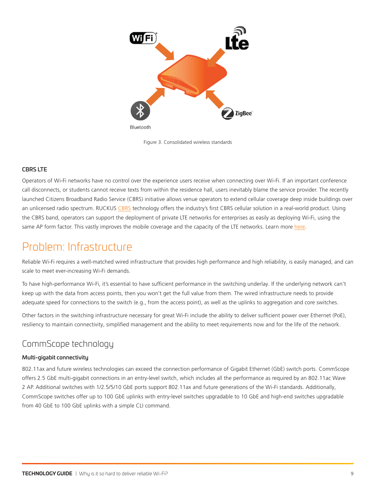<span id="page-8-0"></span>

Figure 3. Consolidated wireless standards

#### CBRS LTE

Operators of Wi-Fi networks have no control over the experience users receive when connecting over Wi-Fi. If an important conference call disconnects, or students cannot receive texts from within the residence hall, users inevitably blame the service provider. The recently launched Citizens Broadband Radio Service (CBRS) initiative allows venue operators to extend cellular coverage deep inside buildings over an unlicensed radio spectrum. RUCKUS [CBRS](https://www.commscope.com/product-type/in-building-cellular-systems/cbrs-lte/) technology offers the industry's first CBRS cellular solution in a real-world product. Using the CBRS band, operators can support the deployment of private LTE networks for enterprises as easily as deploying Wi-Fi, using the same AP form factor. This vastly improves the mobile coverage and the capacity of the LTE networks. Learn more [here.](https://www.commscope.com/solutions/enterprise-networks/private-networks)

# Problem: Infrastructure

Reliable Wi-Fi requires a well-matched wired infrastructure that provides high performance and high reliability, is easily managed, and can scale to meet ever-increasing Wi-Fi demands.

To have high-performance Wi-Fi, it's essential to have sufficient performance in the switching underlay. If the underlying network can't keep up with the data from access points, then you won't get the full value from them. The wired infrastructure needs to provide adequate speed for connections to the switch (e.g., from the access point), as well as the uplinks to aggregation and core switches.

Other factors in the switching infrastructure necessary for great Wi-Fi include the ability to deliver sufficient power over Ethernet (PoE), resiliency to maintain connectivity, simplified management and the ability to meet requirements now and for the life of the network.

### CommScope technology

#### Multi-gigabit connectivity

802.11ax and future wireless technologies can exceed the connection performance of Gigabit Ethernet (GbE) switch ports. CommScope offers 2.5 GbE multi-gigabit connections in an entry-level switch, which includes all the performance as required by an 802.11ac Wave 2 AP. Additional switches with 1/2.5/5/10 GbE ports support 802.11ax and future generations of the Wi-Fi standards. Additionally, CommScope switches offer up to 100 GbE uplinks with entry-level switches upgradable to 10 GbE and high-end switches upgradable from 40 GbE to 100 GbE uplinks with a simple CLI command.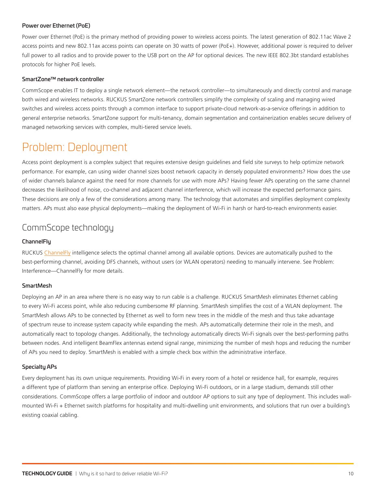#### <span id="page-9-0"></span>Power over Ethernet (PoE)

Power over Ethernet (PoE) is the primary method of providing power to wireless access points. The latest generation of 802.11ac Wave 2 access points and new 802.11ax access points can operate on 30 watts of power (PoE+). However, additional power is required to deliver full power to all radios and to provide power to the USB port on the AP for optional devices. The new IEEE 802.3bt standard establishes protocols for higher PoE levels.

#### SmartZone™ network controller

CommScope enables IT to deploy a single network element—the network controller—to simultaneously and directly control and manage both wired and wireless networks. RUCKUS SmartZone network controllers simplify the complexity of scaling and managing wired switches and wireless access points through a common interface to support private-cloud network-as-a-service offerings in addition to general enterprise networks. SmartZone support for multi-tenancy, domain segmentation and containerization enables secure delivery of managed networking services with complex, multi-tiered service levels.

# Problem: Deployment

Access point deployment is a complex subject that requires extensive design guidelines and field site surveys to help optimize network performance. For example, can using wider channel sizes boost network capacity in densely populated environments? How does the use of wider channels balance against the need for more channels for use with more APs? Having fewer APs operating on the same channel decreases the likelihood of noise, co-channel and adjacent channel interference, which will increase the expected performance gains. These decisions are only a few of the considerations among many. The technology that automates and simplifies deployment complexity matters. APs must also ease physical deployments—making the deployment of Wi-Fi in harsh or hard-to-reach environments easier.

### CommScope technology

#### **ChannelFlu**

RUCKUS [ChannelFly](https://www.commscope.com/globalassets/digizuite/61905-fs-channelfly.pdf) intelligence selects the optimal channel among all available options. Devices are automatically pushed to the best-performing channel, avoiding DFS channels, without users (or WLAN operators) needing to manually intervene. See Problem: Interference—ChannelFly for more details.

#### **SmartMesh**

Deploying an AP in an area where there is no easy way to run cable is a challenge. RUCKUS SmartMesh eliminates Ethernet cabling to every Wi-Fi access point, while also reducing cumbersome RF planning. SmartMesh simplifies the cost of a WLAN deployment. The SmartMesh allows APs to be connected by Ethernet as well to form new trees in the middle of the mesh and thus take advantage of spectrum reuse to increase system capacity while expanding the mesh. APs automatically determine their role in the mesh, and automatically react to topology changes. Additionally, the technology automatically directs Wi-Fi signals over the best-performing paths between nodes. And intelligent BeamFlex antennas extend signal range, minimizing the number of mesh hops and reducing the number of APs you need to deploy. SmartMesh is enabled with a simple check box within the administrative interface.

#### Specialty APs

Every deployment has its own unique requirements. Providing Wi-Fi in every room of a hotel or residence hall, for example, requires a different type of platform than serving an enterprise office. Deploying Wi-Fi outdoors, or in a large stadium, demands still other considerations. CommScope offers a large portfolio of indoor and outdoor AP options to suit any type of deployment. This includes wallmounted Wi-Fi + Ethernet switch platforms for hospitality and multi-dwelling unit environments, and solutions that run over a building's existing coaxial cabling.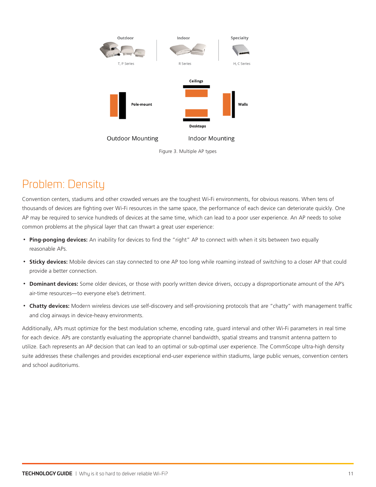<span id="page-10-0"></span>

Figure 3. Multiple AP types

# Problem: Density

Convention centers, stadiums and other crowded venues are the toughest Wi-Fi environments, for obvious reasons. When tens of thousands of devices are fighting over Wi-Fi resources in the same space, the performance of each device can deteriorate quickly. One AP may be required to service hundreds of devices at the same time, which can lead to a poor user experience. An AP needs to solve common problems at the physical layer that can thwart a great user experience:

- **Ping-ponging devices:** An inability for devices to find the "right" AP to connect with when it sits between two equally reasonable APs.
- **Sticky devices:** Mobile devices can stay connected to one AP too long while roaming instead of switching to a closer AP that could provide a better connection.
- **Dominant devices:** Some older devices, or those with poorly written device drivers, occupy a disproportionate amount of the AP's air-time resources—to everyone else's detriment.
- **Chatty devices:** Modern wireless devices use self-discovery and self-provisioning protocols that are "chatty" with management traffic and clog airways in device-heavy environments.

Additionally, APs must optimize for the best modulation scheme, encoding rate, guard interval and other Wi-Fi parameters in real time for each device. APs are constantly evaluating the appropriate channel bandwidth, spatial streams and transmit antenna pattern to utilize. Each represents an AP decision that can lead to an optimal or sub-optimal user experience. The CommScope ultra-high density suite addresses these challenges and provides exceptional end-user experience within stadiums, large public venues, convention centers and school auditoriums.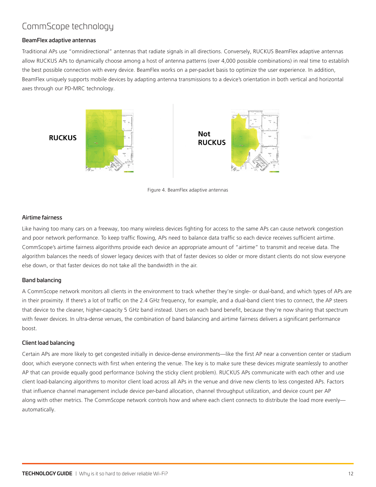# <span id="page-11-0"></span>CommScope technology

#### BeamFlex adaptive antennas

Traditional APs use "omnidirectional" antennas that radiate signals in all directions. Conversely, RUCKUS BeamFlex adaptive antennas allow RUCKUS APs to dynamically choose among a host of antenna patterns (over 4,000 possible combinations) in real time to establish the best possible connection with every device. BeamFlex works on a per-packet basis to optimize the user experience. In addition, BeamFlex uniquely supports mobile devices by adapting antenna transmissions to a device's orientation in both vertical and horizontal axes through our PD-MRC technology.



Figure 4. BeamFlex adaptive antennas

#### Airtime fairness

Like having too many cars on a freeway, too many wireless devices fighting for access to the same APs can cause network congestion and poor network performance. To keep traffic flowing, APs need to balance data traffic so each device receives sufficient airtime. CommScope's airtime fairness algorithms provide each device an appropriate amount of "airtime" to transmit and receive data. The algorithm balances the needs of slower legacy devices with that of faster devices so older or more distant clients do not slow everyone else down, or that faster devices do not take all the bandwidth in the air.

#### Band balancing

A CommScope network monitors all clients in the environment to track whether they're single- or dual-band, and which types of APs are in their proximity. If there's a lot of traffic on the 2.4 GHz frequency, for example, and a dual-band client tries to connect, the AP steers that device to the cleaner, higher-capacity 5 GHz band instead. Users on each band benefit, because they're now sharing that spectrum with fewer devices. In ultra-dense venues, the combination of band balancing and airtime fairness delivers a significant performance boost.

#### Client load balancing

Certain APs are more likely to get congested initially in device-dense environments—like the first AP near a convention center or stadium door, which everyone connects with first when entering the venue. The key is to make sure these devices migrate seamlessly to another AP that can provide equally good performance (solving the sticky client problem). RUCKUS APs communicate with each other and use client load-balancing algorithms to monitor client load across all APs in the venue and drive new clients to less congested APs. Factors that influence channel management include device per-band allocation, channel throughput utilization, and device count per AP along with other metrics. The CommScope network controls how and where each client connects to distribute the load more evenlyautomatically.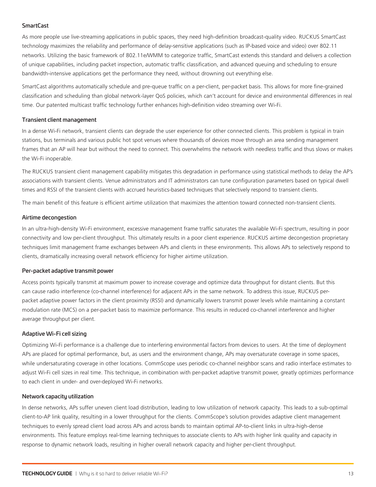#### <span id="page-12-0"></span>**SmartCast**

As more people use live-streaming applications in public spaces, they need high-definition broadcast-quality video. RUCKUS SmartCast technology maximizes the reliability and performance of delay-sensitive applications (such as IP-based voice and video) over 802.11 networks. Utilizing the basic framework of 802.11e/WMM to categorize traffic, SmartCast extends this standard and delivers a collection of unique capabilities, including packet inspection, automatic traffic classification, and advanced queuing and scheduling to ensure bandwidth-intensive applications get the performance they need, without drowning out everything else.

SmartCast algorithms automatically schedule and pre-queue traffic on a per-client, per-packet basis. This allows for more fine-grained classification and scheduling than global network-layer QoS policies, which can't account for device and environmental differences in real time. Our patented multicast traffic technology further enhances high-definition video streaming over Wi-Fi.

#### Transient client management

In a dense Wi-Fi network, transient clients can degrade the user experience for other connected clients. This problem is typical in train stations, bus terminals and various public hot spot venues where thousands of devices move through an area sending management frames that an AP will hear but without the need to connect. This overwhelms the network with needless traffic and thus slows or makes the Wi-Fi inoperable.

The RUCKUS transient client management capability mitigates this degradation in performance using statistical methods to delay the AP's associations with transient clients. Venue administrators and IT administrators can tune configuration parameters based on typical dwell times and RSSI of the transient clients with accrued heuristics-based techniques that selectively respond to transient clients.

The main benefit of this feature is efficient airtime utilization that maximizes the attention toward connected non-transient clients.

#### Airtime decongestion

In an ultra-high-density Wi-Fi environment, excessive management frame traffic saturates the available Wi-Fi spectrum, resulting in poor connectivity and low per-client throughput. This ultimately results in a poor client experience. RUCKUS airtime decongestion proprietary techniques limit management frame exchanges between APs and clients in these environments. This allows APs to selectively respond to clients, dramatically increasing overall network efficiency for higher airtime utilization.

#### Per-packet adaptive transmit power

Access points typically transmit at maximum power to increase coverage and optimize data throughput for distant clients. But this can cause radio interference (co-channel interference) for adjacent APs in the same network. To address this issue, RUCKUS perpacket adaptive power factors in the client proximity (RSSI) and dynamically lowers transmit power levels while maintaining a constant modulation rate (MCS) on a per-packet basis to maximize performance. This results in reduced co-channel interference and higher average throughput per client.

#### Adaptive Wi-Fi cell sizing

Optimizing Wi-Fi performance is a challenge due to interfering environmental factors from devices to users. At the time of deployment APs are placed for optimal performance, but, as users and the environment change, APs may oversaturate coverage in some spaces, while undersaturating coverage in other locations. CommScope uses periodic co-channel neighbor scans and radio interface estimates to adjust Wi-Fi cell sizes in real time. This technique, in combination with per-packet adaptive transmit power, greatly optimizes performance to each client in under- and over-deployed Wi-Fi networks.

#### Network capacity utilization

In dense networks, APs suffer uneven client load distribution, leading to low utilization of network capacity. This leads to a sub-optimal client-to-AP link quality, resulting in a lower throughput for the clients. CommScope's solution provides adaptive client management techniques to evenly spread client load across APs and across bands to maintain optimal AP-to-client links in ultra-high-dense environments. This feature employs real-time learning techniques to associate clients to APs with higher link quality and capacity in response to dynamic network loads, resulting in higher overall network capacity and higher per-client throughput.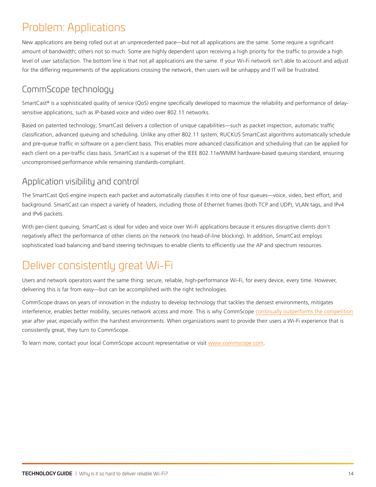# <span id="page-13-0"></span>Problem: Applications

New applications are being rolled out at an unprecedented pace—but not all applications are the same. Some require a significant amount of bandwidth; others not so much. Some are highly dependent upon receiving a high priority for the traffic to provide a high level of user satisfaction. The bottom line is that not all applications are the same. If your Wi-Fi network isn't able to account and adjust for the differing requirements of the applications crossing the network, then users will be unhappy and IT will be frustrated.

# CommScope technology

SmartCast<sup>®</sup> is a sophisticated quality of service (QoS) engine specifically developed to maximize the reliability and performance of delaysensitive applications, such as IP-based voice and video over 802.11 networks.

Based on patented technology, SmartCast delivers a collection of unique capabilities—such as packet inspection, automatic traffic classification, advanced queuing and scheduling. Unlike any other 802.11 system, RUCKUS SmartCast algorithms automatically schedule and pre-queue traffic in software on a per-client basis. This enables more advanced classification and scheduling that can be applied for each client on a per-traffic class basis. SmartCast is a superset of the IEEE 802.11e/WMM hardware-based queuing standard, ensuring uncompromised performance while remaining standards-compliant.

### Application visibility and control

The SmartCast QoS engine inspects each packet and automatically classifies it into one of four queues—voice, video, best effort, and background. SmartCast can inspect a variety of headers, including those of Ethernet frames (both TCP and UDP), VLAN tags, and IPv4 and IPv6 packets.

With per-client queuing, SmartCast is ideal for video and voice over Wi-Fi applications because it ensures disruptive clients don't negatively affect the performance of other clients on the network (no head-of-line blocking). In addition, SmartCast employs sophisticated load balancing and band steering techniques to enable clients to efficiently use the AP and spectrum resources.

# Deliver consistently great Wi-Fi

Users and network operators want the same thing: secure, reliable, high-performance Wi-Fi, for every device, every time. However, delivering this is far from easy—but can be accomplished with the right technologies.

CommScope draws on years of innovation in the industry to develop technology that tackles the densest environments, mitigates interference, enables better mobility, secures network access and more. This is why CommScope [continually outperforms the competition](https://www.commscope.com/ap-performance-testing)  year after year, especially within the harshest environments. When organizations want to provide their users a Wi-Fi experience that is consistently great, they turn to CommScope.

To learn more, contact your local CommScope account representative or visit [www.commscope.com](http://www.commscope.com).